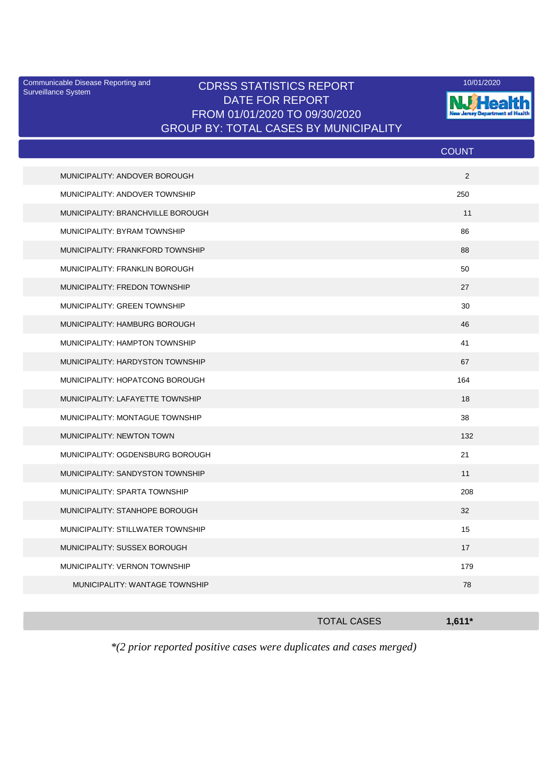Surveillance System

## Communicable Disease Reporting and CDRSS STATISTICS REPORT 10/01/2020<br>Surveillance System CDRSS STATISTICS REPORT DATE FOR REPORT FROM 01/01/2020 TO 09/30/2020 GROUP BY: TOTAL CASES BY MUNICIPALITY



|                                   | <b>COUNT</b> |
|-----------------------------------|--------------|
| MUNICIPALITY: ANDOVER BOROUGH     | 2            |
| MUNICIPALITY: ANDOVER TOWNSHIP    | 250          |
| MUNICIPALITY: BRANCHVILLE BOROUGH | 11           |
| MUNICIPALITY: BYRAM TOWNSHIP      | 86           |
| MUNICIPALITY: FRANKFORD TOWNSHIP  | 88           |
| MUNICIPALITY: FRANKLIN BOROUGH    | 50           |
| MUNICIPALITY: FREDON TOWNSHIP     | 27           |
| MUNICIPALITY: GREEN TOWNSHIP      | 30           |
| MUNICIPALITY: HAMBURG BOROUGH     | 46           |
| MUNICIPALITY: HAMPTON TOWNSHIP    | 41           |
| MUNICIPALITY: HARDYSTON TOWNSHIP  | 67           |
| MUNICIPALITY: HOPATCONG BOROUGH   | 164          |
| MUNICIPALITY: LAFAYETTE TOWNSHIP  | 18           |
| MUNICIPALITY: MONTAGUE TOWNSHIP   | 38           |
| MUNICIPALITY: NEWTON TOWN         | 132          |
| MUNICIPALITY: OGDENSBURG BOROUGH  | 21           |
| MUNICIPALITY: SANDYSTON TOWNSHIP  | 11           |
| MUNICIPALITY: SPARTA TOWNSHIP     | 208          |
| MUNICIPALITY: STANHOPE BOROUGH    | 32           |
| MUNICIPALITY: STILLWATER TOWNSHIP | 15           |
| MUNICIPALITY: SUSSEX BOROUGH      | 17           |
| MUNICIPALITY: VERNON TOWNSHIP     | 179          |
| MUNICIPALITY: WANTAGE TOWNSHIP    | 78           |
|                                   |              |

| <b>TOTAL CASES</b> | $1,611*$ |
|--------------------|----------|
|                    |          |

*\*(2 prior reported positive cases were duplicates and cases merged)*